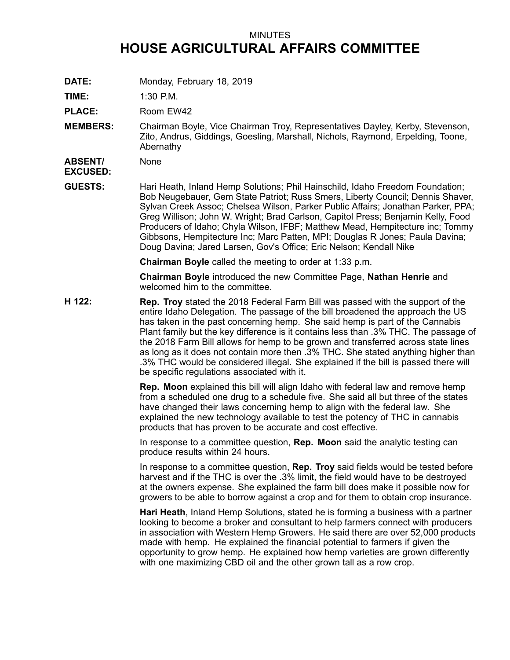## MINUTES **HOUSE AGRICULTURAL AFFAIRS COMMITTEE**

**DATE:** Monday, February 18, 2019

**TIME:** 1:30 P.M.

PLACE: Room EW42

**MEMBERS:** Chairman Boyle, Vice Chairman Troy, Representatives Dayley, Kerby, Stevenson, Zito, Andrus, Giddings, Goesling, Marshall, Nichols, Raymond, Erpelding, Toone, Abernathy

**ABSENT/ EXCUSED:** None

**GUESTS:** Hari Heath, Inland Hemp Solutions; Phil Hainschild, Idaho Freedom Foundation; Bob Neugebauer, Gem State Patriot; Russ Smers, Liberty Council; Dennis Shaver, Sylvan Creek Assoc; Chelsea Wilson, Parker Public Affairs; Jonathan Parker, PPA; Greg Willison; John W. Wright; Brad Carlson, Capitol Press; Benjamin Kelly, Food Producers of Idaho; Chyla Wilson, IFBF; Matthew Mead, Hempitecture inc; Tommy Gibbsons, Hempitecture Inc; Marc Patten, MPI; Douglas R Jones; Paula Davina; Doug Davina; Jared Larsen, Gov's Office; Eric Nelson; Kendall Nike

**Chairman Boyle** called the meeting to order at 1:33 p.m.

**Chairman Boyle** introduced the new Committee Page, **Nathan Henrie** and welcomed him to the committee.

**H 122: Rep. Troy** stated the 2018 Federal Farm Bill was passed with the support of the entire Idaho Delegation. The passage of the bill broadened the approach the US has taken in the past concerning hemp. She said hemp is part of the Cannabis Plant family but the key difference is it contains less than .3% THC. The passage of the 2018 Farm Bill allows for hemp to be grown and transferred across state lines as long as it does not contain more then .3% THC. She stated anything higher than .3% THC would be considered illegal. She explained if the bill is passed there will be specific regulations associated with it.

> **Rep. Moon** explained this bill will align Idaho with federal law and remove hemp from <sup>a</sup> scheduled one drug to <sup>a</sup> schedule five. She said all but three of the states have changed their laws concerning hemp to align with the federal law. She explained the new technology available to test the potency of THC in cannabis products that has proven to be accurate and cost effective.

In response to <sup>a</sup> committee question, **Rep. Moon** said the analytic testing can produce results within 24 hours.

In response to <sup>a</sup> committee question, **Rep. Troy** said fields would be tested before harvest and if the THC is over the .3% limit, the field would have to be destroyed at the owners expense. She explained the farm bill does make it possible now for growers to be able to borrow against <sup>a</sup> crop and for them to obtain crop insurance.

**Hari Heath**, Inland Hemp Solutions, stated he is forming <sup>a</sup> business with <sup>a</sup> partner looking to become <sup>a</sup> broker and consultant to help farmers connect with producers in association with Western Hemp Growers. He said there are over 52,000 products made with hemp. He explained the financial potential to farmers if given the opportunity to grow hemp. He explained how hemp varieties are grown differently with one maximizing CBD oil and the other grown tall as <sup>a</sup> row crop.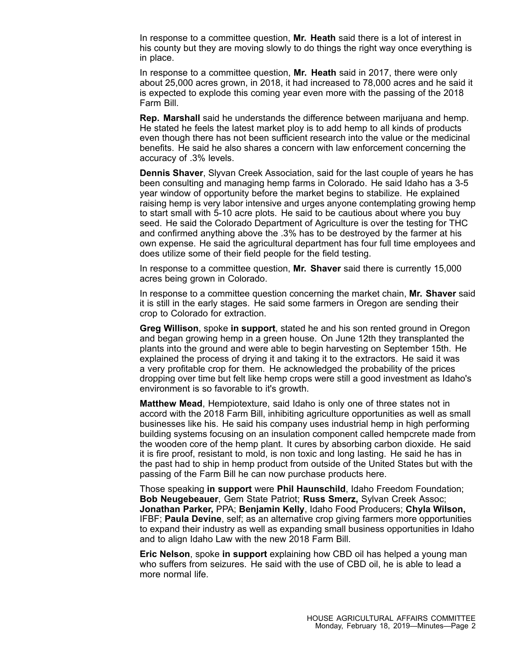In response to <sup>a</sup> committee question, **Mr. Heath** said there is <sup>a</sup> lot of interest in his county but they are moving slowly to do things the right way once everything is in place.

In response to <sup>a</sup> committee question, **Mr. Heath** said in 2017, there were only about 25,000 acres grown, in 2018, it had increased to 78,000 acres and he said it is expected to explode this coming year even more with the passing of the 2018 Farm Bill.

**Rep. Marshall** said he understands the difference between marijuana and hemp. He stated he feels the latest market ploy is to add hemp to all kinds of products even though there has not been sufficient research into the value or the medicinal benefits. He said he also shares <sup>a</sup> concern with law enforcement concerning the accuracy of .3% levels.

**Dennis Shaver**, Slyvan Creek Association, said for the last couple of years he has been consulting and managing hemp farms in Colorado. He said Idaho has <sup>a</sup> 3-5 year window of opportunity before the market begins to stabilize. He explained raising hemp is very labor intensive and urges anyone contemplating growing hemp to start small with 5-10 acre plots. He said to be cautious about where you buy seed. He said the Colorado Department of Agriculture is over the testing for THC and confirmed anything above the .3% has to be destroyed by the farmer at his own expense. He said the agricultural department has four full time employees and does utilize some of their field people for the field testing.

In response to <sup>a</sup> committee question, **Mr. Shaver** said there is currently 15,000 acres being grown in Colorado.

In response to <sup>a</sup> committee question concerning the market chain, **Mr. Shaver** said it is still in the early stages. He said some farmers in Oregon are sending their crop to Colorado for extraction.

**Greg Willison**, spoke **in support**, stated he and his son rented ground in Oregon and began growing hemp in <sup>a</sup> green house. On June 12th they transplanted the plants into the ground and were able to begin harvesting on September 15th. He explained the process of drying it and taking it to the extractors. He said it was <sup>a</sup> very profitable crop for them. He acknowledged the probability of the prices dropping over time but felt like hemp crops were still <sup>a</sup> good investment as Idaho's environment is so favorable to it's growth.

**Matthew Mead**, Hempiotexture, said Idaho is only one of three states not in accord with the 2018 Farm Bill, inhibiting agriculture opportunities as well as small businesses like his. He said his company uses industrial hemp in high performing building systems focusing on an insulation component called hempcrete made from the wooden core of the hemp plant. It cures by absorbing carbon dioxide. He said it is fire proof, resistant to mold, is non toxic and long lasting. He said he has in the past had to ship in hemp product from outside of the United States but with the passing of the Farm Bill he can now purchase products here.

Those speaking **in support** were **Phil Haunschild**, Idaho Freedom Foundation; **Bob Neugebeauer**, Gem State Patriot; **Russ Smerz,** Sylvan Creek Assoc; **Jonathan Parker,** PPA; **Benjamin Kelly**, Idaho Food Producers; **Chyla Wilson,** IFBF; **Paula Devine**, self; as an alternative crop giving farmers more opportunities to expand their industry as well as expanding small business opportunities in Idaho and to align Idaho Law with the new 2018 Farm Bill.

**Eric Nelson**, spoke **in support** explaining how CBD oil has helped <sup>a</sup> young man who suffers from seizures. He said with the use of CBD oil, he is able to lead <sup>a</sup> more normal life.